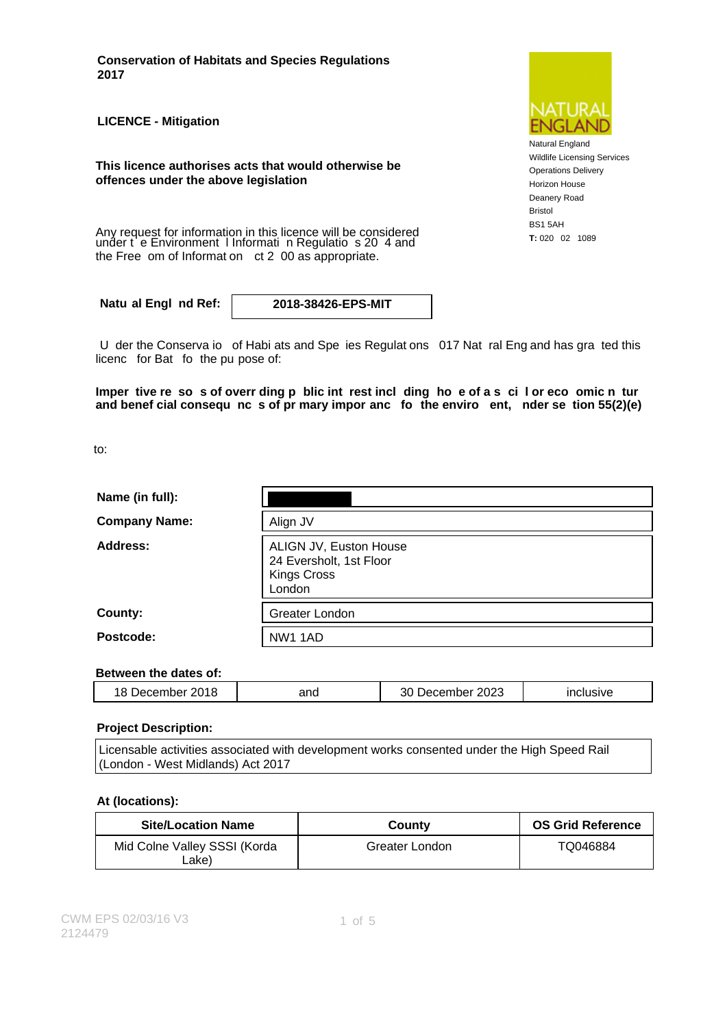**Conservation of Habitats and Species Regulations 2017**

**LICENCE - Mitigation**

**This licence authorises acts that would otherwise be offences under the above legislation**

Any request for information in this licence will be considered<br>under t e Environment I Informati n Regulatio s 20 4 and<br>T: 020 02 1089 the Free om of Informat on ct 2 00 as appropriate.

**Natu al Engl nd Ref: 2018-38426-EPS-MIT**

U der the Conserva io of Habi ats and Spe ies Regulat ons 017 Nat ral Eng and has gra ted this licenc for Bat fo the pu pose of:

**Imper tive re so s of overr ding p blic int rest incl ding ho e of a s ci l or eco omic n tur and benef cial consequ nc s of pr mary impor anc fo the enviro ent, nder se tion 55(2)(e)**

to:

| Name (in full):      |                                                                                   |
|----------------------|-----------------------------------------------------------------------------------|
| <b>Company Name:</b> | Align JV                                                                          |
| Address:             | ALIGN JV, Euston House<br>24 Eversholt, 1st Floor<br><b>Kings Cross</b><br>London |
| County:              | Greater London                                                                    |
| Postcode:            | NW1 1AD                                                                           |

#### **Between the dates of:**

| ៶៱៱<br>20<br>- -<br>18<br>۰.,<br>יִם:<br>، در<br>чноет | and | 2023<br>noei<br>енн<br>,⊷<br>эU | $\sim$ $\sim$ $\sim$<br>SIVE. |
|--------------------------------------------------------|-----|---------------------------------|-------------------------------|
|                                                        |     |                                 |                               |

#### **Project Description:**

Licensable activities associated with development works consented under the High Speed Rail (London - West Midlands) Act 2017

#### **At (locations):**

| <b>Site/Location Name</b>             | County         | <b>OS Grid Reference</b> |
|---------------------------------------|----------------|--------------------------|
| Mid Colne Valley SSSI (Korda<br>∟ake) | Greater London | TQ046884                 |



Natural England Wildlife Licensing Services Operations Delivery Horizon House Deanery Road Bristol BS1 5AH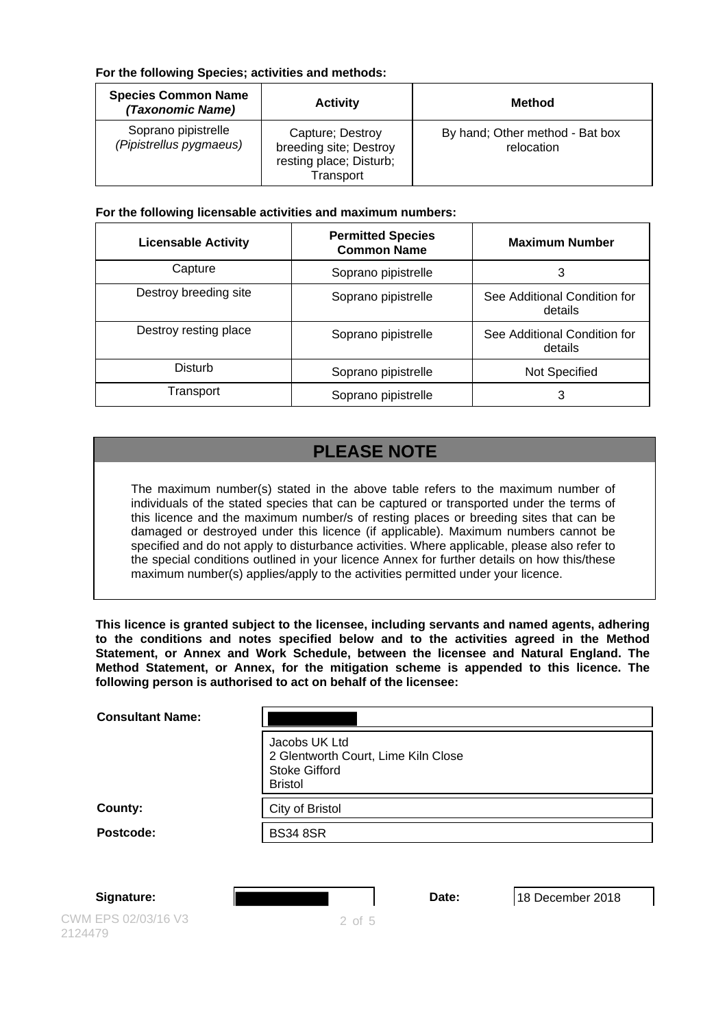### **For the following Species; activities and methods:**

| <b>Species Common Name</b><br>(Taxonomic Name) | <b>Activity</b>                                                                    | Method                                        |
|------------------------------------------------|------------------------------------------------------------------------------------|-----------------------------------------------|
| Soprano pipistrelle<br>(Pipistrellus pygmaeus) | Capture; Destroy<br>breeding site; Destroy<br>resting place; Disturb;<br>Transport | By hand; Other method - Bat box<br>relocation |

### **For the following licensable activities and maximum numbers:**

| <b>Licensable Activity</b> | <b>Permitted Species</b><br><b>Common Name</b> | <b>Maximum Number</b>                   |
|----------------------------|------------------------------------------------|-----------------------------------------|
| Capture                    | Soprano pipistrelle                            | 3                                       |
| Destroy breeding site      | Soprano pipistrelle                            | See Additional Condition for<br>details |
| Destroy resting place      | Soprano pipistrelle                            | See Additional Condition for<br>details |
| Disturb                    | Soprano pipistrelle                            | Not Specified                           |
| Transport                  | Soprano pipistrelle                            | 3                                       |

# **PLEASE NOTE**

The maximum number(s) stated in the above table refers to the maximum number of individuals of the stated species that can be captured or transported under the terms of this licence and the maximum number/s of resting places or breeding sites that can be damaged or destroyed under this licence (if applicable). Maximum numbers cannot be specified and do not apply to disturbance activities. Where applicable, please also refer to the special conditions outlined in your licence Annex for further details on how this/these maximum number(s) applies/apply to the activities permitted under your licence.

**This licence is granted subject to the licensee, including servants and named agents, adhering to the conditions and notes specified below and to the activities agreed in the Method Statement, or Annex and Work Schedule, between the licensee and Natural England. The Method Statement, or Annex, for the mitigation scheme is appended to this licence. The following person is authorised to act on behalf of the licensee:**

| <b>Consultant Name:</b> |                                                                                                |
|-------------------------|------------------------------------------------------------------------------------------------|
|                         | Jacobs UK Ltd<br>2 Glentworth Court, Lime Kiln Close<br><b>Stoke Gifford</b><br><b>Bristol</b> |
| County:                 | City of Bristol                                                                                |
| Postcode:               | <b>BS34 8SR</b>                                                                                |
|                         |                                                                                                |

CWM EPS 02/03/16 V3 2124479

**Signature: Date:** 18 December 2018

2 of 5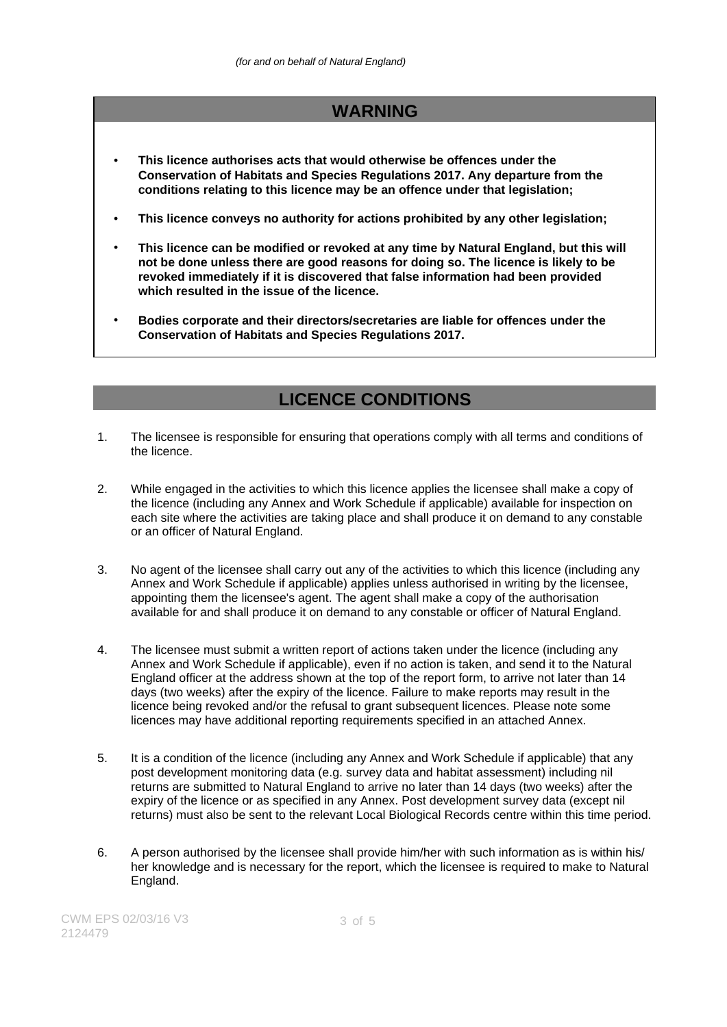### **WARNING**

- **This licence authorises acts that would otherwise be offences under the Conservation of Habitats and Species Regulations 2017. Any departure from the conditions relating to this licence may be an offence under that legislation;**
- **This licence conveys no authority for actions prohibited by any other legislation;**
- **This licence can be modified or revoked at any time by Natural England, but this will not be done unless there are good reasons for doing so. The licence is likely to be revoked immediately if it is discovered that false information had been provided which resulted in the issue of the licence.**
- **Bodies corporate and their directors/secretaries are liable for offences under the Conservation of Habitats and Species Regulations 2017.**

### **LICENCE CONDITIONS**

- 1. The licensee is responsible for ensuring that operations comply with all terms and conditions of the licence.
- 2. While engaged in the activities to which this licence applies the licensee shall make a copy of the licence (including any Annex and Work Schedule if applicable) available for inspection on each site where the activities are taking place and shall produce it on demand to any constable or an officer of Natural England.
- 3. No agent of the licensee shall carry out any of the activities to which this licence (including any Annex and Work Schedule if applicable) applies unless authorised in writing by the licensee, appointing them the licensee's agent. The agent shall make a copy of the authorisation available for and shall produce it on demand to any constable or officer of Natural England.
- 4. The licensee must submit a written report of actions taken under the licence (including any Annex and Work Schedule if applicable), even if no action is taken, and send it to the Natural England officer at the address shown at the top of the report form, to arrive not later than 14 days (two weeks) after the expiry of the licence. Failure to make reports may result in the licence being revoked and/or the refusal to grant subsequent licences. Please note some licences may have additional reporting requirements specified in an attached Annex.
- 5. It is a condition of the licence (including any Annex and Work Schedule if applicable) that any post development monitoring data (e.g. survey data and habitat assessment) including nil returns are submitted to Natural England to arrive no later than 14 days (two weeks) after the expiry of the licence or as specified in any Annex. Post development survey data (except nil returns) must also be sent to the relevant Local Biological Records centre within this time period.
- 6. A person authorised by the licensee shall provide him/her with such information as is within his/ her knowledge and is necessary for the report, which the licensee is required to make to Natural England.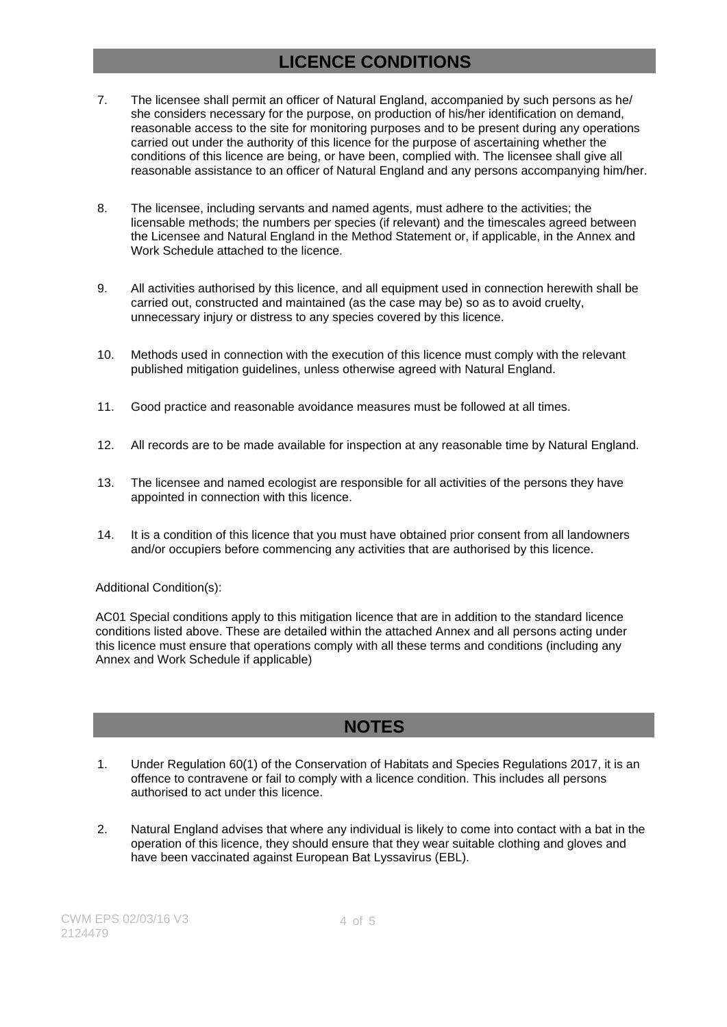## **LICENCE CONDITIONS**

- 7. The licensee shall permit an officer of Natural England, accompanied by such persons as he/ she considers necessary for the purpose, on production of his/her identification on demand, reasonable access to the site for monitoring purposes and to be present during any operations carried out under the authority of this licence for the purpose of ascertaining whether the conditions of this licence are being, or have been, complied with. The licensee shall give all reasonable assistance to an officer of Natural England and any persons accompanying him/her.
- 8. The licensee, including servants and named agents, must adhere to the activities; the licensable methods; the numbers per species (if relevant) and the timescales agreed between the Licensee and Natural England in the Method Statement or, if applicable, in the Annex and Work Schedule attached to the licence.
- 9. All activities authorised by this licence, and all equipment used in connection herewith shall be carried out, constructed and maintained (as the case may be) so as to avoid cruelty, unnecessary injury or distress to any species covered by this licence.
- 10. Methods used in connection with the execution of this licence must comply with the relevant published mitigation guidelines, unless otherwise agreed with Natural England.
- 11. Good practice and reasonable avoidance measures must be followed at all times.
- 12. All records are to be made available for inspection at any reasonable time by Natural England.
- 13. The licensee and named ecologist are responsible for all activities of the persons they have appointed in connection with this licence.
- 14. It is a condition of this licence that you must have obtained prior consent from all landowners and/or occupiers before commencing any activities that are authorised by this licence.

#### Additional Condition(s):

AC01 Special conditions apply to this mitigation licence that are in addition to the standard licence conditions listed above. These are detailed within the attached Annex and all persons acting under this licence must ensure that operations comply with all these terms and conditions (including any Annex and Work Schedule if applicable)

### **NOTES**

- 1. Under Regulation 60(1) of the Conservation of Habitats and Species Regulations 2017, it is an offence to contravene or fail to comply with a licence condition. This includes all persons authorised to act under this licence.
- 2. Natural England advises that where any individual is likely to come into contact with a bat in the operation of this licence, they should ensure that they wear suitable clothing and gloves and have been vaccinated against European Bat Lyssavirus (EBL).